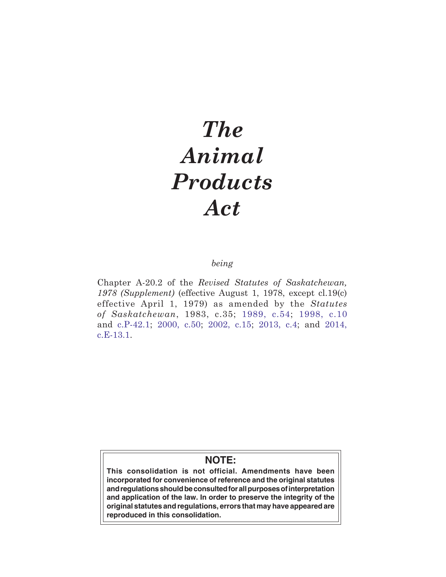# *The Animal Products Act*

# *being*

Chapter A-20.2 of the *Revised Statutes of Saskatchewan, 1978 (Supplement)* (effective August 1, 1978, except cl.19(c) effective April 1, 1979) as amended by the *Statutes of Saskatchewan*, 1983, c.35; [1989, c.54](http://www.qp.gov.sk.ca/documents/english/Chapters/1989-90/54_89.pdf); [1998, c.10](http://www.qp.gov.sk.ca/documents/english/chapters/1998/chap-10.pdf) and [c.P-42.1](http://www.qp.gov.sk.ca/documents/english/chapters/1998/P42-1.pdf); [2000, c.50;](http://www.qp.gov.sk.ca/documents/english/chapters/2000/chap-50.pdf) [2002, c.15](http://www.qp.gov.sk.ca/documents/english/Chapters/2002/chap-15.pdf); [2013, c.4](http://www.qp.gov.sk.ca/documents/english/Chapters/2013/Chap-4.pdf); and [2014,](http://www.qp.gov.sk.ca/documents/english/Chapters/2014/E13-1.pdf) [c.E-13.1.](http://www.qp.gov.sk.ca/documents/english/Chapters/2014/E13-1.pdf)

# **NOTE:**

**This consolidation is not official. Amendments have been incorporated for convenience of reference and the original statutes and regulations should be consulted for all purposes of interpretation and application of the law. In order to preserve the integrity of the original statutes and regulations, errors that may have appeared are reproduced in this consolidation.**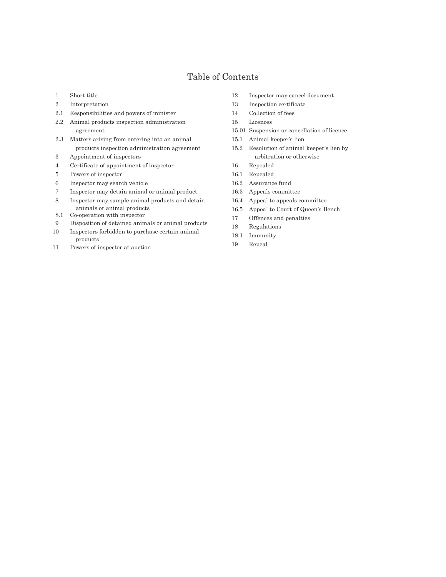# Table of Contents

- 1 Short title
- 2 Interpretation
- 2.1 Responsibilities and powers of minister
- 2.2 Animal products inspection administration agreement
- 2.3 Matters arising from entering into an animal products inspection administration agreement
- 3 Appointment of inspectors
- 4 Certificate of appointment of inspector
- 5 Powers of inspector
- 6 Inspector may search vehicle
- 7 Inspector may detain animal or animal product
- 8 Inspector may sample animal products and detain animals or animal products
- 8.1 Co-operation with inspector
- 9 Disposition of detained animals or animal products
- 10 Inspectors forbidden to purchase certain animal products
- 11 Powers of inspector at auction
- 12 Inspector may cancel document
- 13 Inspection certificate
- 14 Collection of fees
- 15 Licences
- 15.01 Suspension or cancellation of licence
- 15.1 Animal keeper's lien
- 15.2 Resolution of animal keeper's lien by arbitration or otherwise
- 16 Repealed
- 16.1 Repealed
- 16.2 Assurance fund
- 16.3 Appeals committee
- 16.4 Appeal to appeals committee
- 16.5 Appeal to Court of Queen's Bench
- 17 Offences and penalties
- 18 Regulations
- 18.1 Immunity
- 19 Repeal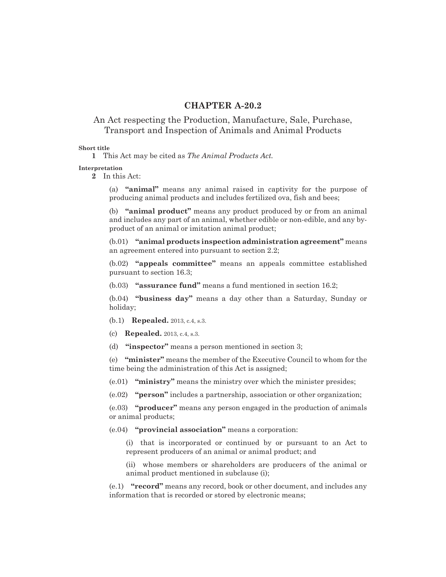# **CHAPTER A-20.2**

# An Act respecting the Production, Manufacture, Sale, Purchase, Transport and Inspection of Animals and Animal Products

# **Short title**

**1** This Act may be cited as *The Animal Products Act.*

#### **Interpretation**

**2** In this Act:

(a) **"animal"** means any animal raised in captivity for the purpose of producing animal products and includes fertilized ova, fish and bees;

(b) **"animal product"** means any product produced by or from an animal and includes any part of an animal, whether edible or non-edible, and any byproduct of an animal or imitation animal product;

(b.01) **"animal products inspection administration agreement"** means an agreement entered into pursuant to section 2.2;

(b.02) **"appeals committee"** means an appeals committee established pursuant to section 16.3;

(b.03) **"assurance fund"** means a fund mentioned in section 16.2;

(b.04) **"business day"** means a day other than a Saturday, Sunday or holiday;

(b.1) **Repealed.** 2013, c.4, s.3.

(c) **Repealed.** 2013, c.4, s.3.

(d) **"inspector"** means a person mentioned in section 3;

(e) **"minister"** means the member of the Executive Council to whom for the time being the administration of this Act is assigned;

(e.01) **"ministry"** means the ministry over which the minister presides;

(e.02) **"person"** includes a partnership, association or other organization;

(e.03) **"producer"** means any person engaged in the production of animals or animal products;

(e.04) **"provincial association"** means a corporation:

(i) that is incorporated or continued by or pursuant to an Act to represent producers of an animal or animal product; and

(ii) whose members or shareholders are producers of the animal or animal product mentioned in subclause (i);

(e.1) **"record"** means any record, book or other document, and includes any information that is recorded or stored by electronic means;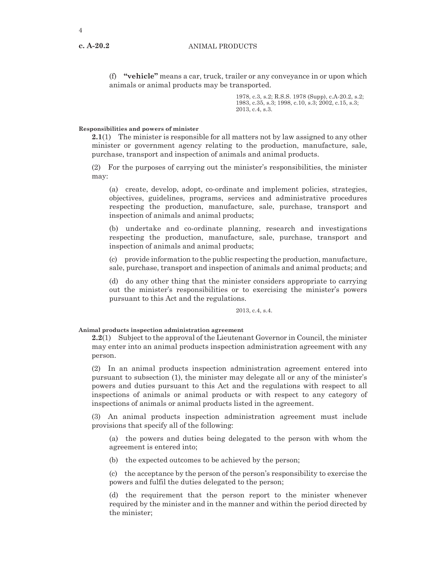**c. A-20.2**

(f) **"vehicle"** means a car, truck, trailer or any conveyance in or upon which animals or animal products may be transported.

> 1978, c.3, s.2; R.S.S. 1978 (Supp), c.A-20.2, s.2; 1983, c.35, s.3; 1998, c.10, s.3; 2002, c.15, s.3; 2013, c.4, s.3.

# **Responsibilities and powers of minister**

**2.1**(1) The minister is responsible for all matters not by law assigned to any other minister or government agency relating to the production, manufacture, sale, purchase, transport and inspection of animals and animal products.

(2) For the purposes of carrying out the minister's responsibilities, the minister may:

(a) create, develop, adopt, co-ordinate and implement policies, strategies, objectives, guidelines, programs, services and administrative procedures respecting the production, manufacture, sale, purchase, transport and inspection of animals and animal products;

(b) undertake and co-ordinate planning, research and investigations respecting the production, manufacture, sale, purchase, transport and inspection of animals and animal products;

(c) provide information to the public respecting the production, manufacture, sale, purchase, transport and inspection of animals and animal products; and

(d) do any other thing that the minister considers appropriate to carrying out the minister's responsibilities or to exercising the minister's powers pursuant to this Act and the regulations.

2013, c.4, s.4.

#### **Animal products inspection administration agreement**

**2.2**(1) Subject to the approval of the Lieutenant Governor in Council, the minister may enter into an animal products inspection administration agreement with any person.

(2) In an animal products inspection administration agreement entered into pursuant to subsection (1), the minister may delegate all or any of the minister's powers and duties pursuant to this Act and the regulations with respect to all inspections of animals or animal products or with respect to any category of inspections of animals or animal products listed in the agreement.

(3) An animal products inspection administration agreement must include provisions that specify all of the following:

(a) the powers and duties being delegated to the person with whom the agreement is entered into;

(b) the expected outcomes to be achieved by the person;

(c) the acceptance by the person of the person's responsibility to exercise the powers and fulfil the duties delegated to the person;

(d) the requirement that the person report to the minister whenever required by the minister and in the manner and within the period directed by the minister;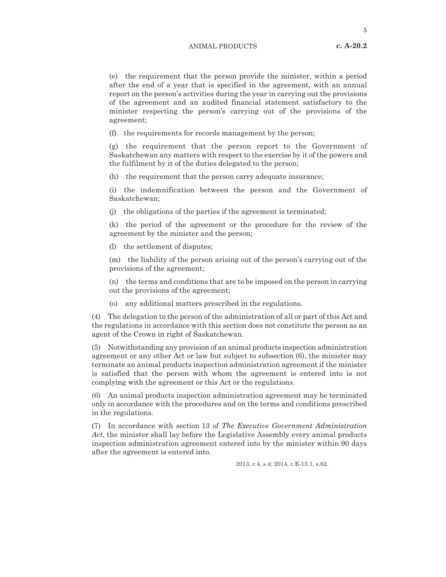5

(e) the requirement that the person provide the minister, within a period after the end of a year that is specified in the agreement, with an annual report on the person's activities during the year in carrying out the provisions of the agreement and an audited financial statement satisfactory to the minister respecting the person's carrying out of the provisions of the agreement;

(f) the requirements for records management by the person;

(g) the requirement that the person report to the Government of Saskatchewan any matters with respect to the exercise by it of the powers and the fulfilment by it of the duties delegated to the person;

(h) the requirement that the person carry adequate insurance;

(i) the indemnification between the person and the Government of Saskatchewan;

(j) the obligations of the parties if the agreement is terminated;

(k) the period of the agreement or the procedure for the review of the agreement by the minister and the person;

(l) the settlement of disputes;

(m) the liability of the person arising out of the person's carrying out of the provisions of the agreement;

(n) the terms and conditions that are to be imposed on the person in carrying out the provisions of the agreement;

(o) any additional matters prescribed in the regulations.

(4) The delegation to the person of the administration of all or part of this Act and the regulations in accordance with this section does not constitute the person as an agent of the Crown in right of Saskatchewan.

(5) Notwithstanding any provision of an animal products inspection administration agreement or any other Act or law but subject to subsection (6), the minister may terminate an animal products inspection administration agreement if the minister is satisfied that the person with whom the agreement is entered into is not complying with the agreement or this Act or the regulations.

(6) An animal products inspection administration agreement may be terminated only in accordance with the procedures and on the terms and conditions prescribed in the regulations.

(7) In accordance with section 13 of *The Executive Government Administration Act*, the minister shall lay before the Legislative Assembly every animal products inspection administration agreement entered into by the minister within 90 days after the agreement is entered into.

2013, c.4, s.4; 2014, c.E-13.1, s.62.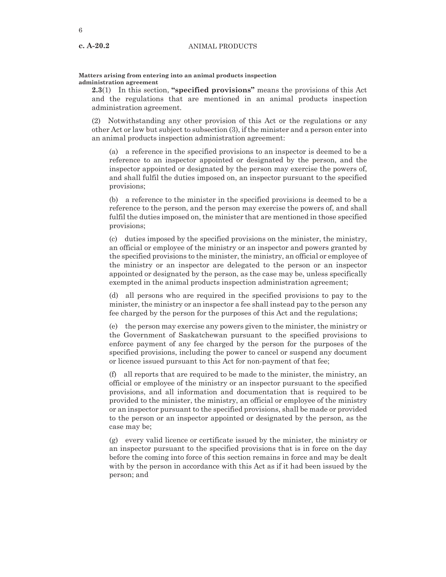#### **Matters arising from entering into an animal products inspection administration agreement**

**2.3**(1) In this section, **"specified provisions"** means the provisions of this Act and the regulations that are mentioned in an animal products inspection administration agreement.

(2) Notwithstanding any other provision of this Act or the regulations or any other Act or law but subject to subsection (3), if the minister and a person enter into an animal products inspection administration agreement:

(a) a reference in the specified provisions to an inspector is deemed to be a reference to an inspector appointed or designated by the person, and the inspector appointed or designated by the person may exercise the powers of, and shall fulfil the duties imposed on, an inspector pursuant to the specified provisions;

(b) a reference to the minister in the specified provisions is deemed to be a reference to the person, and the person may exercise the powers of, and shall fulfil the duties imposed on, the minister that are mentioned in those specified provisions;

(c) duties imposed by the specified provisions on the minister, the ministry, an official or employee of the ministry or an inspector and powers granted by the specified provisions to the minister, the ministry, an official or employee of the ministry or an inspector are delegated to the person or an inspector appointed or designated by the person, as the case may be, unless specifically exempted in the animal products inspection administration agreement;

(d) all persons who are required in the specified provisions to pay to the minister, the ministry or an inspector a fee shall instead pay to the person any fee charged by the person for the purposes of this Act and the regulations;

(e) the person may exercise any powers given to the minister, the ministry or the Government of Saskatchewan pursuant to the specified provisions to enforce payment of any fee charged by the person for the purposes of the specified provisions, including the power to cancel or suspend any document or licence issued pursuant to this Act for non-payment of that fee;

(f) all reports that are required to be made to the minister, the ministry, an official or employee of the ministry or an inspector pursuant to the specified provisions, and all information and documentation that is required to be provided to the minister, the ministry, an official or employee of the ministry or an inspector pursuant to the specified provisions, shall be made or provided to the person or an inspector appointed or designated by the person, as the case may be;

(g) every valid licence or certificate issued by the minister, the ministry or an inspector pursuant to the specified provisions that is in force on the day before the coming into force of this section remains in force and may be dealt with by the person in accordance with this Act as if it had been issued by the person; and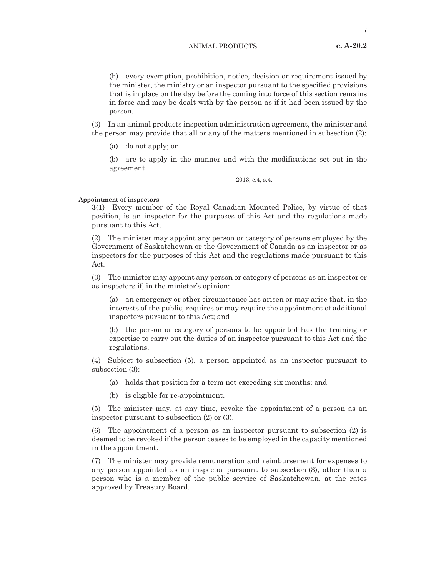(h) every exemption, prohibition, notice, decision or requirement issued by the minister, the ministry or an inspector pursuant to the specified provisions that is in place on the day before the coming into force of this section remains in force and may be dealt with by the person as if it had been issued by the person.

(3) In an animal products inspection administration agreement, the minister and the person may provide that all or any of the matters mentioned in subsection (2):

(a) do not apply; or

(b) are to apply in the manner and with the modifications set out in the agreement.

2013, c.4, s.4.

#### **Appointment of inspectors**

**3**(1) Every member of the Royal Canadian Mounted Police, by virtue of that position, is an inspector for the purposes of this Act and the regulations made pursuant to this Act.

(2) The minister may appoint any person or category of persons employed by the Government of Saskatchewan or the Government of Canada as an inspector or as inspectors for the purposes of this Act and the regulations made pursuant to this Act.

(3) The minister may appoint any person or category of persons as an inspector or as inspectors if, in the minister's opinion:

(a) an emergency or other circumstance has arisen or may arise that, in the interests of the public, requires or may require the appointment of additional inspectors pursuant to this Act; and

(b) the person or category of persons to be appointed has the training or expertise to carry out the duties of an inspector pursuant to this Act and the regulations.

(4) Subject to subsection (5), a person appointed as an inspector pursuant to subsection (3):

- (a) holds that position for a term not exceeding six months; and
- (b) is eligible for re-appointment.

(5) The minister may, at any time, revoke the appointment of a person as an inspector pursuant to subsection (2) or (3).

(6) The appointment of a person as an inspector pursuant to subsection (2) is deemed to be revoked if the person ceases to be employed in the capacity mentioned in the appointment.

(7) The minister may provide remuneration and reimbursement for expenses to any person appointed as an inspector pursuant to subsection (3), other than a person who is a member of the public service of Saskatchewan, at the rates approved by Treasury Board.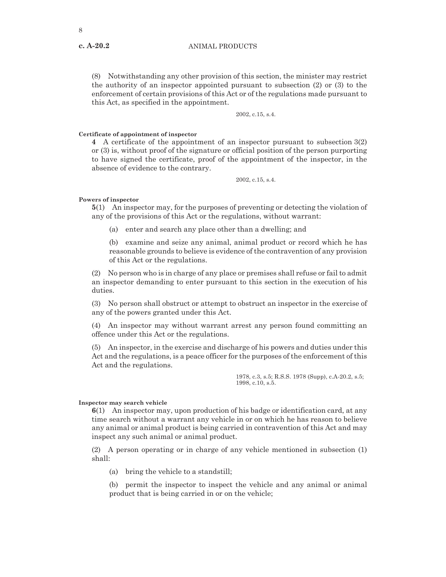**c. A-20.2**

(8) Notwithstanding any other provision of this section, the minister may restrict the authority of an inspector appointed pursuant to subsection (2) or (3) to the enforcement of certain provisions of this Act or of the regulations made pursuant to this Act, as specified in the appointment.

2002, c.15, s.4.

# **Certificate of appointment of inspector**

**4** A certificate of the appointment of an inspector pursuant to subsection 3(2) or (3) is, without proof of the signature or official position of the person purporting to have signed the certificate, proof of the appointment of the inspector, in the absence of evidence to the contrary.

2002, c.15, s.4.

#### **Powers of inspector**

**5**(1) An inspector may, for the purposes of preventing or detecting the violation of any of the provisions of this Act or the regulations, without warrant:

(a) enter and search any place other than a dwelling; and

(b) examine and seize any animal, animal product or record which he has reasonable grounds to believe is evidence of the contravention of any provision of this Act or the regulations.

(2) No person who is in charge of any place or premises shall refuse or fail to admit an inspector demanding to enter pursuant to this section in the execution of his duties.

(3) No person shall obstruct or attempt to obstruct an inspector in the exercise of any of the powers granted under this Act.

(4) An inspector may without warrant arrest any person found committing an offence under this Act or the regulations.

(5) An inspector, in the exercise and discharge of his powers and duties under this Act and the regulations, is a peace officer for the purposes of the enforcement of this Act and the regulations.

> 1978, c.3, s.5; R.S.S. 1978 (Supp), c.A-20.2, s.5; 1998, c.10, s.5.

#### **Inspector may search vehicle**

**6**(1) An inspector may, upon production of his badge or identification card, at any time search without a warrant any vehicle in or on which he has reason to believe any animal or animal product is being carried in contravention of this Act and may inspect any such animal or animal product.

(2) A person operating or in charge of any vehicle mentioned in subsection (1) shall:

(a) bring the vehicle to a standstill;

(b) permit the inspector to inspect the vehicle and any animal or animal product that is being carried in or on the vehicle;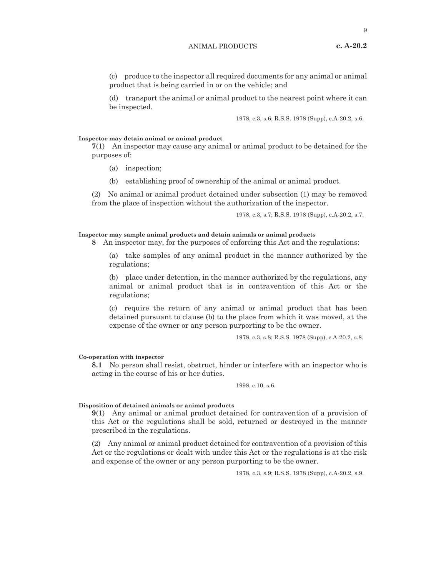9

(c) produce to the inspector all required documents for any animal or animal product that is being carried in or on the vehicle; and

(d) transport the animal or animal product to the nearest point where it can be inspected.

1978, c.3, s.6; R.S.S. 1978 (Supp), c.A-20.2, s.6.

#### **Inspector may detain animal or animal product**

**7**(1) An inspector may cause any animal or animal product to be detained for the purposes of:

- (a) inspection;
- (b) establishing proof of ownership of the animal or animal product.

(2) No animal or animal product detained under subsection (1) may be removed from the place of inspection without the authorization of the inspector.

1978, c.3, s.7; R.S.S. 1978 (Supp), c.A-20.2, s.7.

#### **Inspector may sample animal products and detain animals or animal products**

**8** An inspector may, for the purposes of enforcing this Act and the regulations:

(a) take samples of any animal product in the manner authorized by the regulations;

(b) place under detention, in the manner authorized by the regulations, any animal or animal product that is in contravention of this Act or the regulations;

(c) require the return of any animal or animal product that has been detained pursuant to clause (b) to the place from which it was moved, at the expense of the owner or any person purporting to be the owner.

1978, c.3, s.8; R.S.S. 1978 (Supp), c.A-20.2, s.8.

#### **Co-operation with inspector**

**8.1** No person shall resist, obstruct, hinder or interfere with an inspector who is acting in the course of his or her duties.

1998, c.10, s.6.

#### **Disposition of detained animals or animal products**

**9**(1) Any animal or animal product detained for contravention of a provision of this Act or the regulations shall be sold, returned or destroyed in the manner prescribed in the regulations.

(2) Any animal or animal product detained for contravention of a provision of this Act or the regulations or dealt with under this Act or the regulations is at the risk and expense of the owner or any person purporting to be the owner.

1978, c.3, s.9; R.S.S. 1978 (Supp), c.A-20.2, s.9.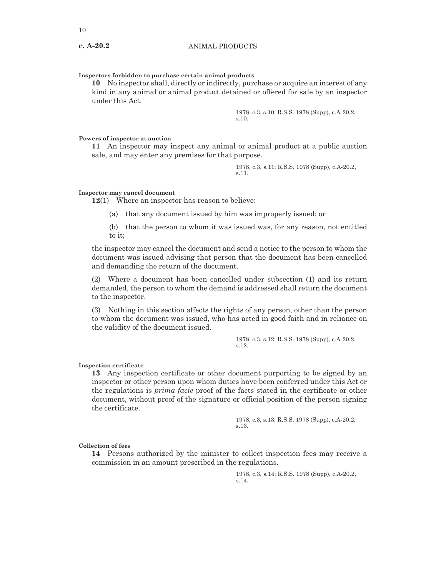# **Inspectors forbidden to purchase certain animal products**

**10** No inspector shall, directly or indirectly, purchase or acquire an interest of any kind in any animal or animal product detained or offered for sale by an inspector under this Act.

> 1978, c.3, s.10; R.S.S. 1978 (Supp), c.A-20.2, s.10.

# **Powers of inspector at auction**

**11** An inspector may inspect any animal or animal product at a public auction sale, and may enter any premises for that purpose.

> 1978, c.3, s.11; R.S.S. 1978 (Supp), c.A-20.2, s.11.

# **Inspector may cancel document**

**12**(1) Where an inspector has reason to believe:

(a) that any document issued by him was improperly issued; or

(b) that the person to whom it was issued was, for any reason, not entitled to it;

the inspector may cancel the document and send a notice to the person to whom the document was issued advising that person that the document has been cancelled and demanding the return of the document.

(2) Where a document has been cancelled under subsection (1) and its return demanded, the person to whom the demand is addressed shall return the document to the inspector.

(3) Nothing in this section affects the rights of any person, other than the person to whom the document was issued, who has acted in good faith and in reliance on the validity of the document issued.

> 1978, c.3, s.12; R.S.S. 1978 (Supp), c.A-20.2, s.12.

#### **Inspection certificate**

**13** Any inspection certificate or other document purporting to be signed by an inspector or other person upon whom duties have been conferred under this Act or the regulations is *prima facie* proof of the facts stated in the certificate or other document, without proof of the signature or official position of the person signing the certificate.

> 1978, c.3, s.13; R.S.S. 1978 (Supp), c.A-20.2, s.13.

**Collection of fees**

**14** Persons authorized by the minister to collect inspection fees may receive a commission in an amount prescribed in the regulations.

> 1978, c.3, s.14; R.S.S. 1978 (Supp), c.A-20.2, s.14.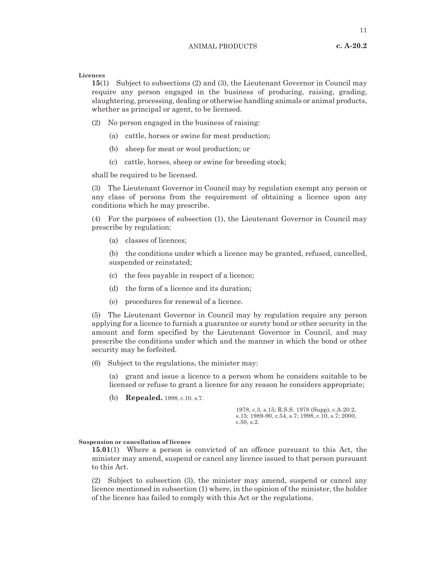**Licences**

**15**(1) Subject to subsections (2) and (3), the Lieutenant Governor in Council may require any person engaged in the business of producing, raising, grading, slaughtering, processing, dealing or otherwise handling animals or animal products, whether as principal or agent, to be licensed.

(2) No person engaged in the business of raising:

- (a) cattle, horses or swine for meat production;
- (b) sheep for meat or wool production; or
- (c) cattle, horses, sheep or swine for breeding stock;

shall be required to be licensed.

(3) The Lieutenant Governor in Council may by regulation exempt any person or any class of persons from the requirement of obtaining a licence upon any conditions which he may prescribe.

(4) For the purposes of subsection (1), the Lieutenant Governor in Council may prescribe by regulation:

(a) classes of licences;

(b) the conditions under which a licence may be granted, refused, cancelled, suspended or reinstated;

- (c) the fees payable in respect of a licence;
- (d) the form of a licence and its duration;
- (e) procedures for renewal of a licence.

(5) The Lieutenant Governor in Council may by regulation require any person applying for a licence to furnish a guarantee or surety bond or other security in the amount and form specified by the Lieutenant Governor in Council, and may prescribe the conditions under which and the manner in which the bond or other security may be forfeited.

(6) Subject to the regulations, the minister may:

(a) grant and issue a licence to a person whom he considers suitable to be licensed or refuse to grant a licence for any reason he considers appropriate;

(b) **Repealed.** 1998, c.10, s.7.

1978, c.3, s.15; R.S.S. 1978 (Supp), c.A-20.2, s.15; 1989-90, c.54, s.7; 1998, c.10, s.7; 2000, c.50, s.2.

# **Suspension or cancellation of licence**

**15.01**(1) Where a person is convicted of an offence pursuant to this Act, the minister may amend, suspend or cancel any licence issued to that person pursuant to this Act.

(2) Subject to subsection (3), the minister may amend, suspend or cancel any licence mentioned in subsection (1) where, in the opinion of the minister, the holder of the licence has failed to comply with this Act or the regulations.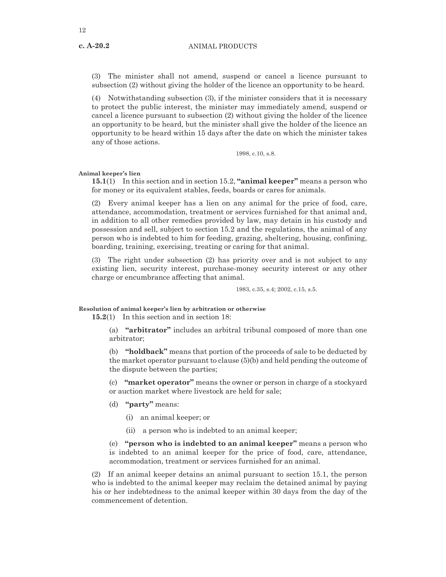(3) The minister shall not amend, suspend or cancel a licence pursuant to subsection (2) without giving the holder of the licence an opportunity to be heard.

(4) Notwithstanding subsection (3), if the minister considers that it is necessary to protect the public interest, the minister may immediately amend, suspend or cancel a licence pursuant to subsection (2) without giving the holder of the licence an opportunity to be heard, but the minister shall give the holder of the licence an opportunity to be heard within 15 days after the date on which the minister takes any of those actions.

1998, c.10, s.8.

**Animal keeper's lien**

**15.1**(1) In this section and in section 15.2, **"animal keeper"** means a person who for money or its equivalent stables, feeds, boards or cares for animals.

(2) Every animal keeper has a lien on any animal for the price of food, care, attendance, accommodation, treatment or services furnished for that animal and, in addition to all other remedies provided by law, may detain in his custody and possession and sell, subject to section 15.2 and the regulations, the animal of any person who is indebted to him for feeding, grazing, sheltering, housing, confining, boarding, training, exercising, treating or caring for that animal.

(3) The right under subsection (2) has priority over and is not subject to any existing lien, security interest, purchase-money security interest or any other charge or encumbrance affecting that animal.

1983, c.35, s.4; 2002, c.15, s.5.

**Resolution of animal keeper's lien by arbitration or otherwise**

**15.2**(1) In this section and in section 18:

(a) **"arbitrator"** includes an arbitral tribunal composed of more than one arbitrator;

(b) **"holdback"** means that portion of the proceeds of sale to be deducted by the market operator pursuant to clause (5)(b) and held pending the outcome of the dispute between the parties;

(c) **"market operator"** means the owner or person in charge of a stockyard or auction market where livestock are held for sale;

- (d) **"party"** means:
	- (i) an animal keeper; or
	- (ii) a person who is indebted to an animal keeper;

(e) **"person who is indebted to an animal keeper"** means a person who is indebted to an animal keeper for the price of food, care, attendance, accommodation, treatment or services furnished for an animal.

(2) If an animal keeper detains an animal pursuant to section 15.1, the person who is indebted to the animal keeper may reclaim the detained animal by paying his or her indebtedness to the animal keeper within 30 days from the day of the commencement of detention.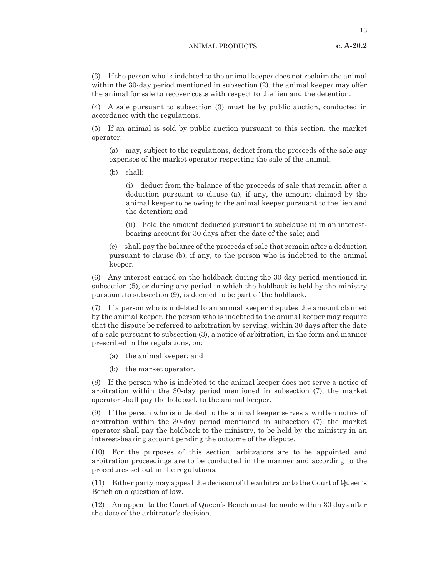(3) If the person who is indebted to the animal keeper does not reclaim the animal within the 30-day period mentioned in subsection (2), the animal keeper may offer the animal for sale to recover costs with respect to the lien and the detention.

(4) A sale pursuant to subsection (3) must be by public auction, conducted in accordance with the regulations.

(5) If an animal is sold by public auction pursuant to this section, the market operator:

(a) may, subject to the regulations, deduct from the proceeds of the sale any expenses of the market operator respecting the sale of the animal;

(b) shall:

(i) deduct from the balance of the proceeds of sale that remain after a deduction pursuant to clause (a), if any, the amount claimed by the animal keeper to be owing to the animal keeper pursuant to the lien and the detention; and

(ii) hold the amount deducted pursuant to subclause (i) in an interestbearing account for 30 days after the date of the sale; and

(c) shall pay the balance of the proceeds of sale that remain after a deduction pursuant to clause (b), if any, to the person who is indebted to the animal keeper.

(6) Any interest earned on the holdback during the 30-day period mentioned in subsection (5), or during any period in which the holdback is held by the ministry pursuant to subsection (9), is deemed to be part of the holdback.

(7) If a person who is indebted to an animal keeper disputes the amount claimed by the animal keeper, the person who is indebted to the animal keeper may require that the dispute be referred to arbitration by serving, within 30 days after the date of a sale pursuant to subsection (3), a notice of arbitration, in the form and manner prescribed in the regulations, on:

- (a) the animal keeper; and
- (b) the market operator.

(8) If the person who is indebted to the animal keeper does not serve a notice of arbitration within the 30-day period mentioned in subsection (7), the market operator shall pay the holdback to the animal keeper.

(9) If the person who is indebted to the animal keeper serves a written notice of arbitration within the 30-day period mentioned in subsection (7), the market operator shall pay the holdback to the ministry, to be held by the ministry in an interest-bearing account pending the outcome of the dispute.

(10) For the purposes of this section, arbitrators are to be appointed and arbitration proceedings are to be conducted in the manner and according to the procedures set out in the regulations.

(11) Either party may appeal the decision of the arbitrator to the Court of Queen's Bench on a question of law.

(12) An appeal to the Court of Queen's Bench must be made within 30 days after the date of the arbitrator's decision.

**c. A-20.2**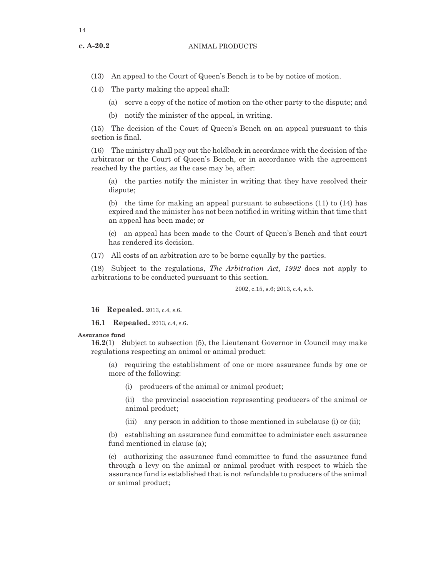**c. A-20.2**

- (13) An appeal to the Court of Queen's Bench is to be by notice of motion.
- (14) The party making the appeal shall:
	- (a) serve a copy of the notice of motion on the other party to the dispute; and
	- (b) notify the minister of the appeal, in writing.

(15) The decision of the Court of Queen's Bench on an appeal pursuant to this section is final.

(16) The ministry shall pay out the holdback in accordance with the decision of the arbitrator or the Court of Queen's Bench, or in accordance with the agreement reached by the parties, as the case may be, after:

(a) the parties notify the minister in writing that they have resolved their dispute;

(b) the time for making an appeal pursuant to subsections (11) to (14) has expired and the minister has not been notified in writing within that time that an appeal has been made; or

(c) an appeal has been made to the Court of Queen's Bench and that court has rendered its decision.

(17) All costs of an arbitration are to be borne equally by the parties.

(18) Subject to the regulations, *The Arbitration Act, 1992* does not apply to arbitrations to be conducted pursuant to this section.

2002, c.15, s.6; 2013, c.4, s.5.

**16 Repealed.** 2013, c.4, s.6.

**16.1 Repealed.** 2013, c.4, s.6.

# **Assurance fund**

**16.2**(1) Subject to subsection (5), the Lieutenant Governor in Council may make regulations respecting an animal or animal product:

(a) requiring the establishment of one or more assurance funds by one or more of the following:

(i) producers of the animal or animal product;

(ii) the provincial association representing producers of the animal or animal product;

(iii) any person in addition to those mentioned in subclause (i) or (ii);

(b) establishing an assurance fund committee to administer each assurance fund mentioned in clause (a);

(c) authorizing the assurance fund committee to fund the assurance fund through a levy on the animal or animal product with respect to which the assurance fund is established that is not refundable to producers of the animal or animal product;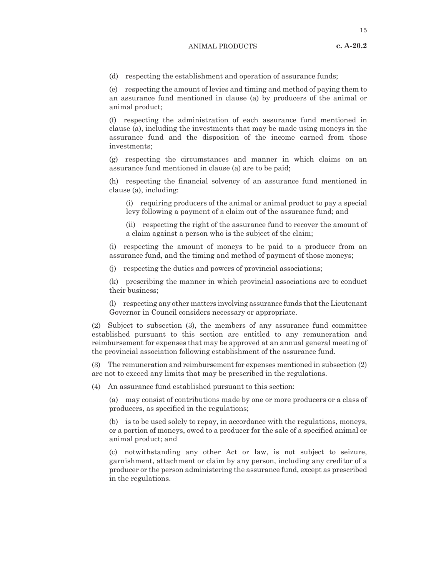(d) respecting the establishment and operation of assurance funds;

(e) respecting the amount of levies and timing and method of paying them to an assurance fund mentioned in clause (a) by producers of the animal or animal product;

(f) respecting the administration of each assurance fund mentioned in clause (a), including the investments that may be made using moneys in the assurance fund and the disposition of the income earned from those investments;

(g) respecting the circumstances and manner in which claims on an assurance fund mentioned in clause (a) are to be paid;

(h) respecting the financial solvency of an assurance fund mentioned in clause (a), including:

(i) requiring producers of the animal or animal product to pay a special levy following a payment of a claim out of the assurance fund; and

(ii) respecting the right of the assurance fund to recover the amount of a claim against a person who is the subject of the claim;

(i) respecting the amount of moneys to be paid to a producer from an assurance fund, and the timing and method of payment of those moneys;

(j) respecting the duties and powers of provincial associations;

(k) prescribing the manner in which provincial associations are to conduct their business;

(l) respecting any other matters involving assurance funds that the Lieutenant Governor in Council considers necessary or appropriate.

(2) Subject to subsection (3), the members of any assurance fund committee established pursuant to this section are entitled to any remuneration and reimbursement for expenses that may be approved at an annual general meeting of the provincial association following establishment of the assurance fund.

(3) The remuneration and reimbursement for expenses mentioned in subsection (2) are not to exceed any limits that may be prescribed in the regulations.

(4) An assurance fund established pursuant to this section:

(a) may consist of contributions made by one or more producers or a class of producers, as specified in the regulations;

(b) is to be used solely to repay, in accordance with the regulations, moneys, or a portion of moneys, owed to a producer for the sale of a specified animal or animal product; and

(c) notwithstanding any other Act or law, is not subject to seizure, garnishment, attachment or claim by any person, including any creditor of a producer or the person administering the assurance fund, except as prescribed in the regulations.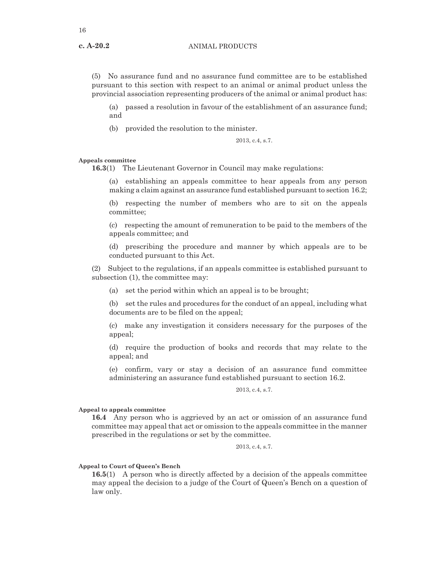(5) No assurance fund and no assurance fund committee are to be established pursuant to this section with respect to an animal or animal product unless the provincial association representing producers of the animal or animal product has:

(a) passed a resolution in favour of the establishment of an assurance fund; and

(b) provided the resolution to the minister.

2013, c.4, s.7.

# **Appeals committee**

**16.3**(1) The Lieutenant Governor in Council may make regulations:

(a) establishing an appeals committee to hear appeals from any person making a claim against an assurance fund established pursuant to section 16.2;

(b) respecting the number of members who are to sit on the appeals committee;

(c) respecting the amount of remuneration to be paid to the members of the appeals committee; and

(d) prescribing the procedure and manner by which appeals are to be conducted pursuant to this Act.

(2) Subject to the regulations, if an appeals committee is established pursuant to subsection (1), the committee may:

(a) set the period within which an appeal is to be brought;

(b) set the rules and procedures for the conduct of an appeal, including what documents are to be filed on the appeal;

(c) make any investigation it considers necessary for the purposes of the appeal;

(d) require the production of books and records that may relate to the appeal; and

(e) confirm, vary or stay a decision of an assurance fund committee administering an assurance fund established pursuant to section 16.2.

2013, c.4, s.7.

# **Appeal to appeals committee**

**16.4** Any person who is aggrieved by an act or omission of an assurance fund committee may appeal that act or omission to the appeals committee in the manner prescribed in the regulations or set by the committee.

2013, c.4, s.7.

# **Appeal to Court of Queen's Bench**

**16.5**(1) A person who is directly affected by a decision of the appeals committee may appeal the decision to a judge of the Court of Queen's Bench on a question of law only.

**c. A-20.2**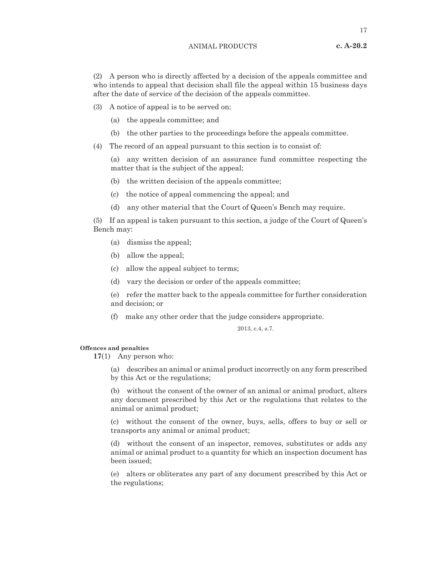(2) A person who is directly affected by a decision of the appeals committee and who intends to appeal that decision shall file the appeal within 15 business days after the date of service of the decision of the appeals committee.

- (3) A notice of appeal is to be served on:
	- (a) the appeals committee; and
	- (b) the other parties to the proceedings before the appeals committee.
- (4) The record of an appeal pursuant to this section is to consist of:

(a) any written decision of an assurance fund committee respecting the matter that is the subject of the appeal;

- (b) the written decision of the appeals committee;
- (c) the notice of appeal commencing the appeal; and
- (d) any other material that the Court of Queen's Bench may require.

(5) If an appeal is taken pursuant to this section, a judge of the Court of Queen's Bench may:

- (a) dismiss the appeal;
- (b) allow the appeal;
- (c) allow the appeal subject to terms;
- (d) vary the decision or order of the appeals committee;

(e) refer the matter back to the appeals committee for further consideration and decision; or

(f) make any other order that the judge considers appropriate.

2013, c.4, s.7.

# **Offences and penalties**

**17**(1) Any person who:

(a) describes an animal or animal product incorrectly on any form prescribed by this Act or the regulations;

(b) without the consent of the owner of an animal or animal product, alters any document prescribed by this Act or the regulations that relates to the animal or animal product;

(c) without the consent of the owner, buys, sells, offers to buy or sell or transports any animal or animal product;

(d) without the consent of an inspector, removes, substitutes or adds any animal or animal product to a quantity for which an inspection document has been issued;

(e) alters or obliterates any part of any document prescribed by this Act or the regulations;

**c. A-20.2**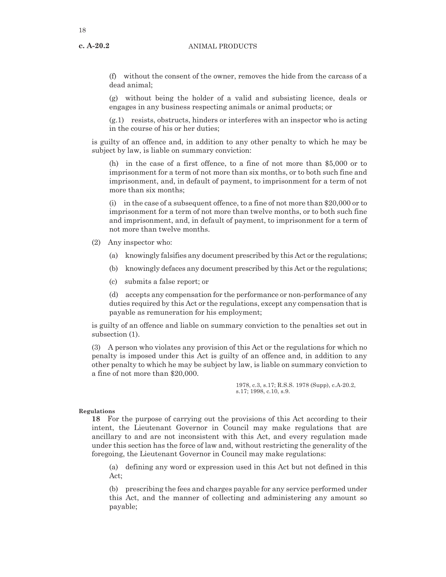**c. A-20.2**

(f) without the consent of the owner, removes the hide from the carcass of a dead animal;

(g) without being the holder of a valid and subsisting licence, deals or engages in any business respecting animals or animal products; or

(g.1) resists, obstructs, hinders or interferes with an inspector who is acting in the course of his or her duties;

is guilty of an offence and, in addition to any other penalty to which he may be subject by law, is liable on summary conviction:

(h) in the case of a first offence, to a fine of not more than \$5,000 or to imprisonment for a term of not more than six months, or to both such fine and imprisonment, and, in default of payment, to imprisonment for a term of not more than six months;

(i) in the case of a subsequent offence, to a fine of not more than \$20,000 or to imprisonment for a term of not more than twelve months, or to both such fine and imprisonment, and, in default of payment, to imprisonment for a term of not more than twelve months.

- (2) Any inspector who:
	- (a) knowingly falsifies any document prescribed by this Act or the regulations;
	- (b) knowingly defaces any document prescribed by this Act or the regulations;
	- (c) submits a false report; or

(d) accepts any compensation for the performance or non-performance of any duties required by this Act or the regulations, except any compensation that is payable as remuneration for his employment;

is guilty of an offence and liable on summary conviction to the penalties set out in subsection (1).

(3) A person who violates any provision of this Act or the regulations for which no penalty is imposed under this Act is guilty of an offence and, in addition to any other penalty to which he may be subject by law, is liable on summary conviction to a fine of not more than \$20,000.

> 1978, c.3, s.17; R.S.S. 1978 (Supp), c.A-20.2, s.17; 1998, c.10, s.9.

#### **Regulations**

**18** For the purpose of carrying out the provisions of this Act according to their intent, the Lieutenant Governor in Council may make regulations that are ancillary to and are not inconsistent with this Act, and every regulation made under this section has the force of law and, without restricting the generality of the foregoing, the Lieutenant Governor in Council may make regulations:

(a) defining any word or expression used in this Act but not defined in this Act;

(b) prescribing the fees and charges payable for any service performed under this Act, and the manner of collecting and administering any amount so payable;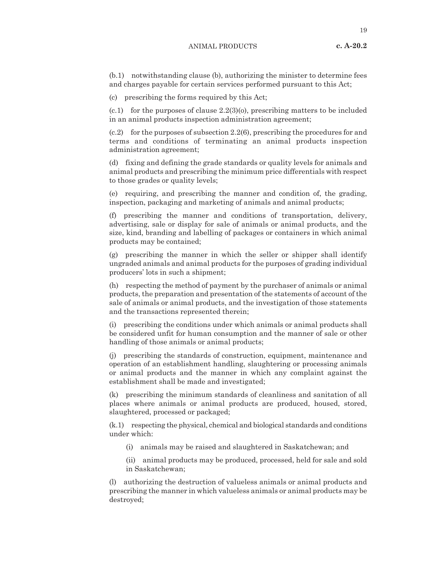(b.1) notwithstanding clause (b), authorizing the minister to determine fees and charges payable for certain services performed pursuant to this Act;

(c) prescribing the forms required by this Act;

 $(c.1)$  for the purposes of clause  $2.2(3)(o)$ , prescribing matters to be included in an animal products inspection administration agreement;

(c.2) for the purposes of subsection 2.2(6), prescribing the procedures for and terms and conditions of terminating an animal products inspection administration agreement;

(d) fixing and defining the grade standards or quality levels for animals and animal products and prescribing the minimum price differentials with respect to those grades or quality levels;

(e) requiring, and prescribing the manner and condition of, the grading, inspection, packaging and marketing of animals and animal products;

(f) prescribing the manner and conditions of transportation, delivery, advertising, sale or display for sale of animals or animal products, and the size, kind, branding and labelling of packages or containers in which animal products may be contained;

(g) prescribing the manner in which the seller or shipper shall identify ungraded animals and animal products for the purposes of grading individual producers' lots in such a shipment;

(h) respecting the method of payment by the purchaser of animals or animal products, the preparation and presentation of the statements of account of the sale of animals or animal products, and the investigation of those statements and the transactions represented therein;

(i) prescribing the conditions under which animals or animal products shall be considered unfit for human consumption and the manner of sale or other handling of those animals or animal products;

(j) prescribing the standards of construction, equipment, maintenance and operation of an establishment handling, slaughtering or processing animals or animal products and the manner in which any complaint against the establishment shall be made and investigated;

(k) prescribing the minimum standards of cleanliness and sanitation of all places where animals or animal products are produced, housed, stored, slaughtered, processed or packaged;

(k.1) respecting the physical, chemical and biological standards and conditions under which:

- (i) animals may be raised and slaughtered in Saskatchewan; and
- (ii) animal products may be produced, processed, held for sale and sold in Saskatchewan;

(l) authorizing the destruction of valueless animals or animal products and prescribing the manner in which valueless animals or animal products may be destroyed;

**c. A-20.2**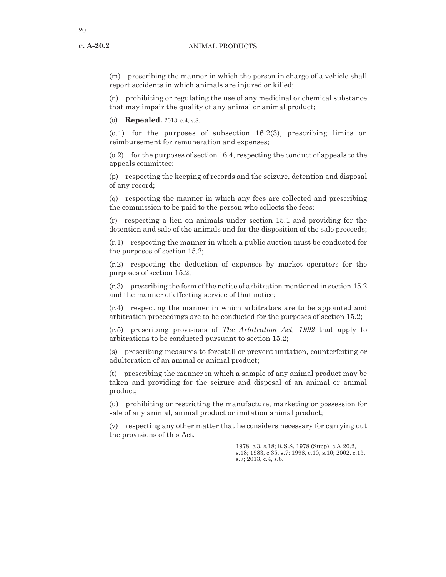**c. A-20.2**

(m) prescribing the manner in which the person in charge of a vehicle shall report accidents in which animals are injured or killed;

(n) prohibiting or regulating the use of any medicinal or chemical substance that may impair the quality of any animal or animal product;

(o) **Repealed.** 2013, c.4, s.8.

 $(0.1)$  for the purposes of subsection 16.2(3), prescribing limits on reimbursement for remuneration and expenses;

(o.2) for the purposes of section 16.4, respecting the conduct of appeals to the appeals committee;

(p) respecting the keeping of records and the seizure, detention and disposal of any record;

(q) respecting the manner in which any fees are collected and prescribing the commission to be paid to the person who collects the fees;

(r) respecting a lien on animals under section 15.1 and providing for the detention and sale of the animals and for the disposition of the sale proceeds;

(r.1) respecting the manner in which a public auction must be conducted for the purposes of section 15.2;

(r.2) respecting the deduction of expenses by market operators for the purposes of section 15.2;

(r.3) prescribing the form of the notice of arbitration mentioned in section 15.2 and the manner of effecting service of that notice;

(r.4) respecting the manner in which arbitrators are to be appointed and arbitration proceedings are to be conducted for the purposes of section 15.2;

(r.5) prescribing provisions of *The Arbitration Act, 1992* that apply to arbitrations to be conducted pursuant to section 15.2;

(s) prescribing measures to forestall or prevent imitation, counterfeiting or adulteration of an animal or animal product;

(t) prescribing the manner in which a sample of any animal product may be taken and providing for the seizure and disposal of an animal or animal product;

(u) prohibiting or restricting the manufacture, marketing or possession for sale of any animal, animal product or imitation animal product;

(v) respecting any other matter that he considers necessary for carrying out the provisions of this Act.

> 1978, c.3, s.18; R.S.S. 1978 (Supp), c.A-20.2, s.18; 1983, c.35, s.7; 1998, c.10, s.10; 2002, c.15, s.7; 2013, c.4, s.8.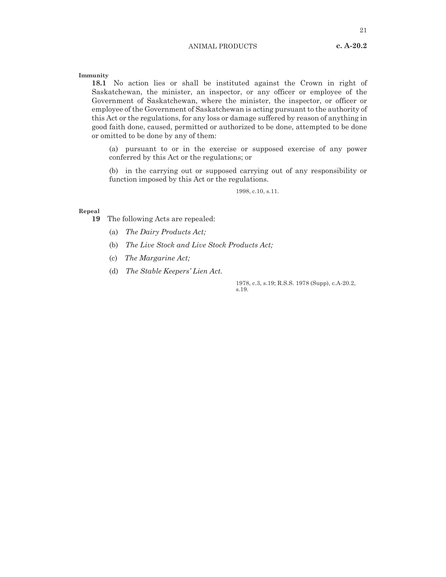21

**Immunity**

**18.1** No action lies or shall be instituted against the Crown in right of Saskatchewan, the minister, an inspector, or any officer or employee of the Government of Saskatchewan, where the minister, the inspector, or officer or employee of the Government of Saskatchewan is acting pursuant to the authority of this Act or the regulations, for any loss or damage suffered by reason of anything in good faith done, caused, permitted or authorized to be done, attempted to be done or omitted to be done by any of them:

(a) pursuant to or in the exercise or supposed exercise of any power conferred by this Act or the regulations; or

(b) in the carrying out or supposed carrying out of any responsibility or function imposed by this Act or the regulations.

1998, c.10, s.11.

#### **Repeal**

**19** The following Acts are repealed:

- (a) *The Dairy Products Act;*
- (b) *The Live Stock and Live Stock Products Act;*
- (c) *The Margarine Act;*
- (d) *The Stable Keepers' Lien Act.*

1978, c.3, s.19; R.S.S. 1978 (Supp), c.A-20.2, s.19.